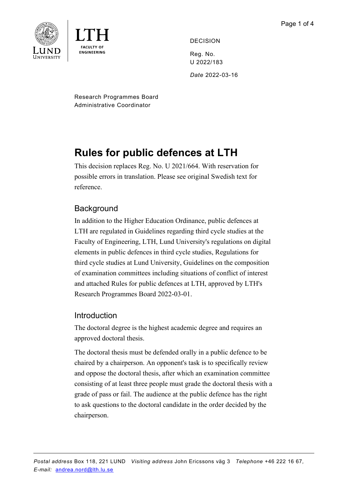

DECISION

Reg. No. U 2022/183 *Date* 2022-03-16

Research Programmes Board Administrative Coordinator

## **Rules for public defences at LTH**

This decision replaces Reg. No. U 2021/664. With reservation for possible errors in translation. Please see original Swedish text for reference.

## **Background**

In addition to the Higher Education Ordinance, public defences at LTH are regulated in Guidelines regarding third cycle studies at the Faculty of Engineering, LTH, Lund University's regulations on digital elements in public defences in third cycle studies, Regulations for third cycle studies at Lund University, Guidelines on the composition of examination committees including situations of conflict of interest and attached Rules for public defences at LTH, approved by LTH's Research Programmes Board 2022-03-01.

## Introduction

The doctoral degree is the highest academic degree and requires an approved doctoral thesis.

The doctoral thesis must be defended orally in a public defence to be chaired by a chairperson. An opponent's task is to specifically review and oppose the doctoral thesis, after which an examination committee consisting of at least three people must grade the doctoral thesis with a grade of pass or fail. The audience at the public defence has the right to ask questions to the doctoral candidate in the order decided by the chairperson.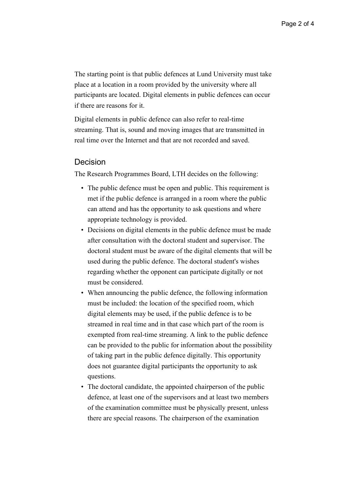The starting point is that public defences at Lund University must take place at a location in a room provided by the university where all participants are located. Digital elements in public defences can occur if there are reasons for it.

Digital elements in public defence can also refer to real-time streaming. That is, sound and moving images that are transmitted in real time over the Internet and that are not recorded and saved.

## Decision

The Research Programmes Board, LTH decides on the following:

- The public defence must be open and public. This requirement is met if the public defence is arranged in a room where the public can attend and has the opportunity to ask questions and where appropriate technology is provided.
- Decisions on digital elements in the public defence must be made after consultation with the doctoral student and supervisor. The doctoral student must be aware of the digital elements that will be used during the public defence. The doctoral student's wishes regarding whether the opponent can participate digitally or not must be considered.
- When announcing the public defence, the following information must be included: the location of the specified room, which digital elements may be used, if the public defence is to be streamed in real time and in that case which part of the room is exempted from real-time streaming. A link to the public defence can be provided to the public for information about the possibility of taking part in the public defence digitally. This opportunity does not guarantee digital participants the opportunity to ask questions.
- The doctoral candidate, the appointed chairperson of the public defence, at least one of the supervisors and at least two members of the examination committee must be physically present, unless there are special reasons. The chairperson of the examination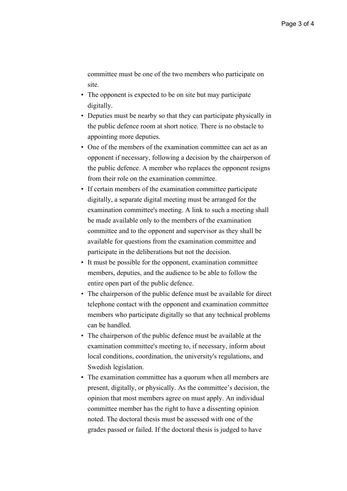committee must be one of the two members who participate on site.

- The opponent is expected to be on site but may participate digitally.
- Deputies must be nearby so that they can participate physically in the public defence room at short notice. There is no obstacle to appointing more deputies.
- One of the members of the examination committee can act as an opponent if necessary, following a decision by the chairperson of the public defence. A member who replaces the opponent resigns from their role on the examination committee.
- If certain members of the examination committee participate digitally, a separate digital meeting must be arranged for the examination committee's meeting. A link to such a meeting shall be made available only to the members of the examination committee and to the opponent and supervisor as they shall be available for questions from the examination committee and participate in the deliberations but not the decision.
- It must be possible for the opponent, examination committee members, deputies, and the audience to be able to follow the entire open part of the public defence.
- The chairperson of the public defence must be available for direct telephone contact with the opponent and examination committee members who participate digitally so that any technical problems can be handled.
- The chairperson of the public defence must be available at the examination committee's meeting to, if necessary, inform about local conditions, coordination, the university's regulations, and Swedish legislation.
- The examination committee has a quorum when all members are present, digitally, or physically. As the committee's decision, the opinion that most members agree on must apply. An individual committee member has the right to have a dissenting opinion noted. The doctoral thesis must be assessed with one of the grades passed or failed. If the doctoral thesis is judged to have